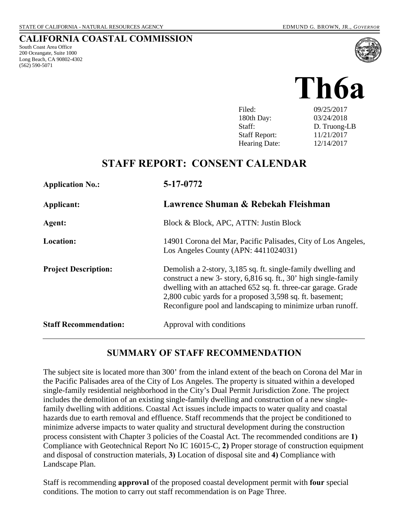South Coast Area Office 200 Oceangate, Suite 1000 Long Beach, CA 90802-4302

(562) 590-5071

**CALIFORNIA COASTAL COMMISSION**



| Filed:               | 09/25/2017   |
|----------------------|--------------|
| 180th Day:           | 03/24/2018   |
| Staff:               | D. Truong-LB |
| <b>Staff Report:</b> | 11/21/2017   |
| <b>Hearing Date:</b> | 12/14/2017   |
|                      |              |

# **STAFF REPORT: CONSENT CALENDAR**

| <b>Application No.:</b>      | 5-17-0772                                                                                                                                                                                                                                                                                                                  |
|------------------------------|----------------------------------------------------------------------------------------------------------------------------------------------------------------------------------------------------------------------------------------------------------------------------------------------------------------------------|
| Applicant:                   | Lawrence Shuman & Rebekah Fleishman                                                                                                                                                                                                                                                                                        |
| Agent:                       | Block & Block, APC, ATTN: Justin Block                                                                                                                                                                                                                                                                                     |
| <b>Location:</b>             | 14901 Corona del Mar, Pacific Palisades, City of Los Angeles,<br>Los Angeles County (APN: 4411024031)                                                                                                                                                                                                                      |
| <b>Project Description:</b>  | Demolish a 2-story, 3,185 sq. ft. single-family dwelling and<br>construct a new 3- story, 6,816 sq. ft., 30' high single-family<br>dwelling with an attached 652 sq. ft. three-car garage. Grade<br>2,800 cubic yards for a proposed 3,598 sq. ft. basement;<br>Reconfigure pool and landscaping to minimize urban runoff. |
| <b>Staff Recommendation:</b> | Approval with conditions                                                                                                                                                                                                                                                                                                   |

## **SUMMARY OF STAFF RECOMMENDATION**

The subject site is located more than 300' from the inland extent of the beach on Corona del Mar in the Pacific Palisades area of the City of Los Angeles. The property is situated within a developed single-family residential neighborhood in the City's Dual Permit Jurisdiction Zone. The project includes the demolition of an existing single-family dwelling and construction of a new singlefamily dwelling with additions. Coastal Act issues include impacts to water quality and coastal hazards due to earth removal and effluence. Staff recommends that the project be conditioned to minimize adverse impacts to water quality and structural development during the construction process consistent with Chapter 3 policies of the Coastal Act. The recommended conditions are **1)** Compliance with Geotechnical Report No IC 16015-C, **2)** Proper storage of construction equipment and disposal of construction materials, **3)** Location of disposal site and **4)** Compliance with Landscape Plan.

Staff is recommending **approval** of the proposed coastal development permit with **four** special conditions. The motion to carry out staff recommendation is on Page Three.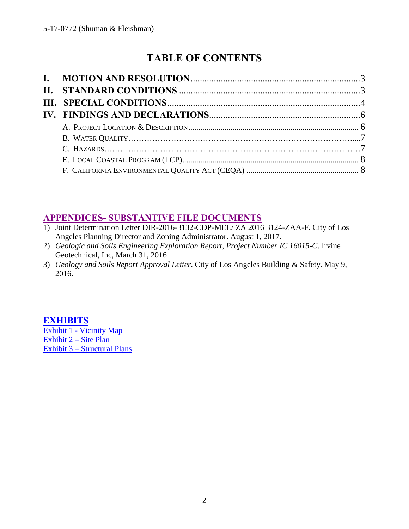# **TABLE OF CONTENTS**

# **[APPENDICES- SUBSTANTIVE FILE DOCUMENTS](#page-8-0)**

- 1) Joint Determination Letter DIR-2016-3132-CDP-MEL/ ZA 2016 3124-ZAA-F. City of Los Angeles Planning Director and Zoning Administrator. August 1, 2017.
- 2) *Geologic and Soils Engineering Exploration Report, Project Number IC 16015-C*. Irvine Geotechnical, Inc, March 31, 2016
- 3) *Geology and Soils Report Approval Letter*. City of Los Angeles Building & Safety. May 9, 2016.

# **[EXHIBITS](https://documents.coastal.ca.gov/reports/2017/12/Th6a/Th6a-12-2017-exhibits.pdf)**

[Exhibit 1 - Vicinity Map](https://documents.coastal.ca.gov/reports/2017/12/Th6a/Th6a-12-2017-exhibits.pdf) [Exhibit 2 – Site Plan](https://documents.coastal.ca.gov/reports/2017/12/Th6a/Th6a-12-2017-exhibits.pdf) [Exhibit 3 – Structural Plans](https://documents.coastal.ca.gov/reports/2017/12/Th6a/Th6a-12-2017-exhibits.pdf)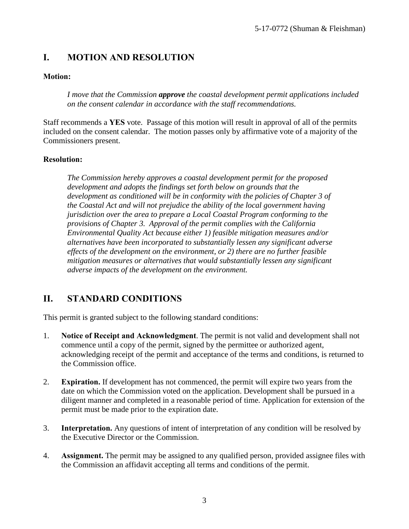# <span id="page-2-0"></span>**I. MOTION AND RESOLUTION**

#### **Motion:**

*I move that the Commission approve the coastal development permit applications included on the consent calendar in accordance with the staff recommendations.*

Staff recommends a **YES** vote. Passage of this motion will result in approval of all of the permits included on the consent calendar. The motion passes only by affirmative vote of a majority of the Commissioners present.

#### **Resolution:**

*The Commission hereby approves a coastal development permit for the proposed development and adopts the findings set forth below on grounds that the development as conditioned will be in conformity with the policies of Chapter 3 of the Coastal Act and will not prejudice the ability of the local government having jurisdiction over the area to prepare a Local Coastal Program conforming to the provisions of Chapter 3. Approval of the permit complies with the California Environmental Quality Act because either 1) feasible mitigation measures and/or alternatives have been incorporated to substantially lessen any significant adverse effects of the development on the environment, or 2) there are no further feasible mitigation measures or alternatives that would substantially lessen any significant adverse impacts of the development on the environment.* 

## <span id="page-2-1"></span>**II. STANDARD CONDITIONS**

This permit is granted subject to the following standard conditions:

- 1. **Notice of Receipt and Acknowledgment**. The permit is not valid and development shall not commence until a copy of the permit, signed by the permittee or authorized agent, acknowledging receipt of the permit and acceptance of the terms and conditions, is returned to the Commission office.
- 2. **Expiration.** If development has not commenced, the permit will expire two years from the date on which the Commission voted on the application. Development shall be pursued in a diligent manner and completed in a reasonable period of time. Application for extension of the permit must be made prior to the expiration date.
- 3. **Interpretation.** Any questions of intent of interpretation of any condition will be resolved by the Executive Director or the Commission.
- 4. **Assignment.** The permit may be assigned to any qualified person, provided assignee files with the Commission an affidavit accepting all terms and conditions of the permit.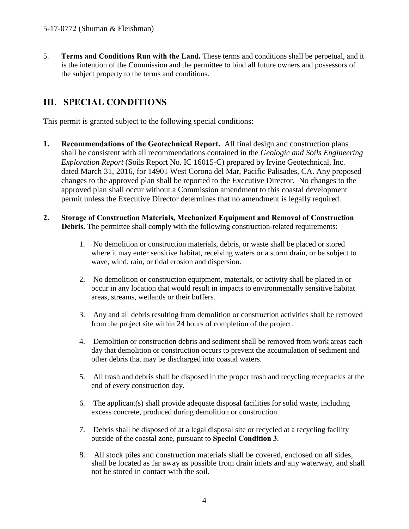5. **Terms and Conditions Run with the Land.** These terms and conditions shall be perpetual, and it is the intention of the Commission and the permittee to bind all future owners and possessors of the subject property to the terms and conditions.

# <span id="page-3-0"></span>**III. SPECIAL CONDITIONS**

This permit is granted subject to the following special conditions:

- **1. Recommendations of the Geotechnical Report.** All final design and construction plans shall be consistent with all recommendations contained in the *Geologic and Soils Engineering Exploration Report* (Soils Report No. IC 16015-C) prepared by Irvine Geotechnical, Inc. dated March 31, 2016, for 14901 West Corona del Mar, Pacific Palisades, CA. Any proposed changes to the approved plan shall be reported to the Executive Director. No changes to the approved plan shall occur without a Commission amendment to this coastal development permit unless the Executive Director determines that no amendment is legally required.
- **2. Storage of Construction Materials, Mechanized Equipment and Removal of Construction Debris.** The permittee shall comply with the following construction-related requirements:
	- 1. No demolition or construction materials, debris, or waste shall be placed or stored where it may enter sensitive habitat, receiving waters or a storm drain, or be subject to wave, wind, rain, or tidal erosion and dispersion.
	- 2. No demolition or construction equipment, materials, or activity shall be placed in or occur in any location that would result in impacts to environmentally sensitive habitat areas, streams, wetlands or their buffers.
	- 3. Any and all debris resulting from demolition or construction activities shall be removed from the project site within 24 hours of completion of the project.
	- 4. Demolition or construction debris and sediment shall be removed from work areas each day that demolition or construction occurs to prevent the accumulation of sediment and other debris that may be discharged into coastal waters.
	- 5. All trash and debris shall be disposed in the proper trash and recycling receptacles at the end of every construction day.
	- 6. The applicant(s) shall provide adequate disposal facilities for solid waste, including excess concrete, produced during demolition or construction.
	- 7. Debris shall be disposed of at a legal disposal site or recycled at a recycling facility outside of the coastal zone, pursuant to **Special Condition 3**.
	- 8. All stock piles and construction materials shall be covered, enclosed on all sides, shall be located as far away as possible from drain inlets and any waterway, and shall not be stored in contact with the soil.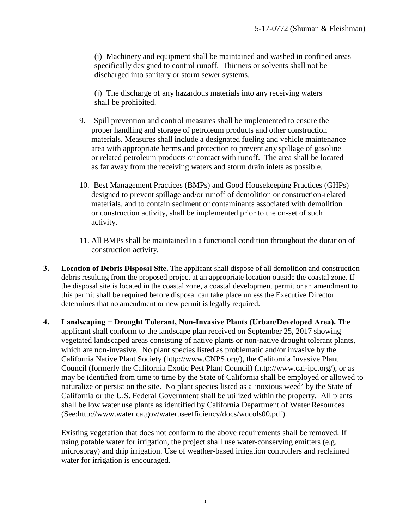(i) Machinery and equipment shall be maintained and washed in confined areas specifically designed to control runoff. Thinners or solvents shall not be discharged into sanitary or storm sewer systems.

(j) The discharge of any hazardous materials into any receiving waters shall be prohibited.

- 9. Spill prevention and control measures shall be implemented to ensure the proper handling and storage of petroleum products and other construction materials. Measures shall include a designated fueling and vehicle maintenance area with appropriate berms and protection to prevent any spillage of gasoline or related petroleum products or contact with runoff. The area shall be located as far away from the receiving waters and storm drain inlets as possible.
- 10. Best Management Practices (BMPs) and Good Housekeeping Practices (GHPs) designed to prevent spillage and/or runoff of demolition or construction-related materials, and to contain sediment or contaminants associated with demolition or construction activity, shall be implemented prior to the on-set of such activity.
- 11. All BMPs shall be maintained in a functional condition throughout the duration of construction activity.
- **3. Location of Debris Disposal Site.** The applicant shall dispose of all demolition and construction debris resulting from the proposed project at an appropriate location outside the coastal zone. If the disposal site is located in the coastal zone, a coastal development permit or an amendment to this permit shall be required before disposal can take place unless the Executive Director determines that no amendment or new permit is legally required.
- **4. Landscaping − Drought Tolerant, Non-Invasive Plants (Urban/Developed Area).** The applicant shall conform to the landscape plan received on September 25, 2017 showing vegetated landscaped areas consisting of native plants or non-native drought tolerant plants, which are non-invasive. No plant species listed as problematic and/or invasive by the California Native Plant Society (http://www.CNPS.org/), the California Invasive Plant Council (formerly the California Exotic Pest Plant Council) (http://www.cal-ipc.org/), or as may be identified from time to time by the State of California shall be employed or allowed to naturalize or persist on the site. No plant species listed as a 'noxious weed' by the State of California or the U.S. Federal Government shall be utilized within the property. All plants shall be low water use plants as identified by California Department of Water Resources (See:http://www.water.ca.gov/wateruseefficiency/docs/wucols00.pdf).

Existing vegetation that does not conform to the above requirements shall be removed. If using potable water for irrigation, the project shall use water-conserving emitters (e.g. microspray) and drip irrigation. Use of weather-based irrigation controllers and reclaimed water for irrigation is encouraged.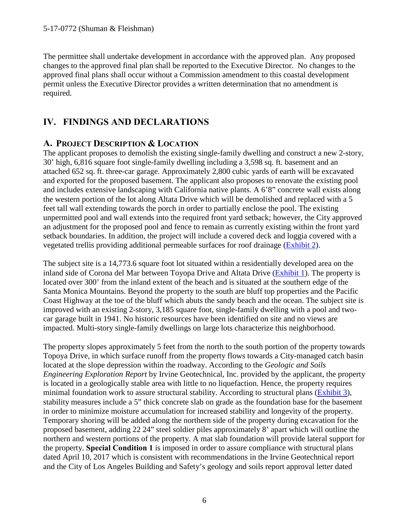The permittee shall undertake development in accordance with the approved plan. Any proposed changes to the approved final plan shall be reported to the Executive Director. No changes to the approved final plans shall occur without a Commission amendment to this coastal development permit unless the Executive Director provides a written determination that no amendment is required.

# <span id="page-5-1"></span><span id="page-5-0"></span>**IV. FINDINGS AND DECLARATIONS**

#### **A. PROJECT DESCRIPTION & LOCATION**

The applicant proposes to demolish the existing single-family dwelling and construct a new 2-story, 30' high, 6,816 square foot single-family dwelling including a 3,598 sq. ft. basement and an attached 652 sq. ft. three-car garage. Approximately 2,800 cubic yards of earth will be excavated and exported for the proposed basement. The applicant also proposes to renovate the existing pool and includes extensive landscaping with California native plants. A 6'8" concrete wall exists along the western portion of the lot along Altata Drive which will be demolished and replaced with a 5 feet tall wall extending towards the porch in order to partially enclose the pool. The existing unpermitted pool and wall extends into the required front yard setback; however, the City approved an adjustment for the proposed pool and fence to remain as currently existing within the front yard setback boundaries. In addition, the project will include a covered deck and loggia covered with a vegetated trellis providing additional permeable surfaces for roof drainage [\(Exhibit 2\)](https://documents.coastal.ca.gov/reports/2017/12/Th6a/Th6a-12-2017-exhibits.pdf).

The subject site is a 14,773.6 square foot lot situated within a residentially developed area on the inland side of Corona del Mar between Toyopa Drive and Altata Drive [\(Exhibit 1\)](https://documents.coastal.ca.gov/reports/2017/12/Th6a/Th6a-12-2017-exhibits.pdf). The property is located over 300' from the inland extent of the beach and is situated at the southern edge of the Santa Monica Mountains. Beyond the property to the south are bluff top properties and the Pacific Coast Highway at the toe of the bluff which abuts the sandy beach and the ocean. The subject site is improved with an existing 2-story, 3,185 square foot, single-family dwelling with a pool and twocar garage built in 1941. No historic resources have been identified on site and no views are impacted. Multi-story single-family dwellings on large lots characterize this neighborhood.

The property slopes approximately 5 feet from the north to the south portion of the property towards Topoya Drive, in which surface runoff from the property flows towards a City-managed catch basin located at the slope depression within the roadway. According to the *Geologic and Soils Engineering Exploration Report* by Irvine Geotechnical, Inc. provided by the applicant, the property is located in a geologically stable area with little to no liquefaction. Hence, the property requires minimal foundation work to assure structural stability. According to structural plans [\(Exhibit 3\)](https://documents.coastal.ca.gov/reports/2017/12/Th6a/Th6a-12-2017-exhibits.pdf), stability measures include a 5" thick concrete slab on grade as the foundation base for the basement in order to minimize moisture accumulation for increased stability and longevity of the property. Temporary shoring will be added along the northern side of the property during excavation for the proposed basement, adding 22 24" steel soldier piles approximately 8' apart which will outline the northern and western portions of the property. A mat slab foundation will provide lateral support for the property. **Special Condition 1** is imposed in order to assure compliance with structural plans dated April 10, 2017 which is consistent with recommendations in the Irvine Geotechnical report and the City of Los Angeles Building and Safety's geology and soils report approval letter dated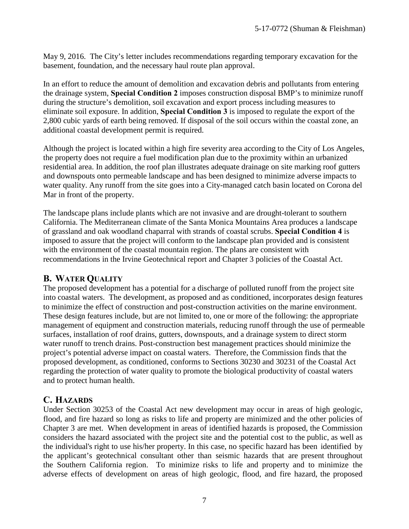May 9, 2016. The City's letter includes recommendations regarding temporary excavation for the basement, foundation, and the necessary haul route plan approval.

In an effort to reduce the amount of demolition and excavation debris and pollutants from entering the drainage system, **Special Condition 2** imposes construction disposal BMP's to minimize runoff during the structure's demolition, soil excavation and export process including measures to eliminate soil exposure. In addition, **Special Condition 3** is imposed to regulate the export of the 2,800 cubic yards of earth being removed. If disposal of the soil occurs within the coastal zone, an additional coastal development permit is required.

Although the project is located within a high fire severity area according to the City of Los Angeles, the property does not require a fuel modification plan due to the proximity within an urbanized residential area. In addition, the roof plan illustrates adequate drainage on site marking roof gutters and downspouts onto permeable landscape and has been designed to minimize adverse impacts to water quality. Any runoff from the site goes into a City-managed catch basin located on Corona del Mar in front of the property.

The landscape plans include plants which are not invasive and are drought-tolerant to southern California. The Mediterranean climate of the Santa Monica Mountains Area produces a landscape of grassland and oak woodland chaparral with strands of coastal scrubs. **Special Condition 4** is imposed to assure that the project will conform to the landscape plan provided and is consistent with the environment of the coastal mountain region. The plans are consistent with recommendations in the Irvine Geotechnical report and Chapter 3 policies of the Coastal Act.

#### <span id="page-6-0"></span>**B. WATER QUALITY**

The proposed development has a potential for a discharge of polluted runoff from the project site into coastal waters. The development, as proposed and as conditioned, incorporates design features to minimize the effect of construction and post-construction activities on the marine environment. These design features include, but are not limited to, one or more of the following: the appropriate management of equipment and construction materials, reducing runoff through the use of permeable surfaces, installation of roof drains, gutters, downspouts, and a drainage system to direct storm water runoff to trench drains. Post-construction best management practices should minimize the project's potential adverse impact on coastal waters. Therefore, the Commission finds that the proposed development, as conditioned, conforms to Sections 30230 and 30231 of the Coastal Act regarding the protection of water quality to promote the biological productivity of coastal waters and to protect human health.

#### <span id="page-6-1"></span>**C. HAZARDS**

Under Section 30253 of the Coastal Act new development may occur in areas of high geologic, flood, and fire hazard so long as risks to life and property are minimized and the other policies of Chapter 3 are met. When development in areas of identified hazards is proposed, the Commission considers the hazard associated with the project site and the potential cost to the public, as well as the individual's right to use his/her property. In this case, no specific hazard has been identified by the applicant's geotechnical consultant other than seismic hazards that are present throughout the Southern California region. To minimize risks to life and property and to minimize the adverse effects of development on areas of high geologic, flood, and fire hazard, the proposed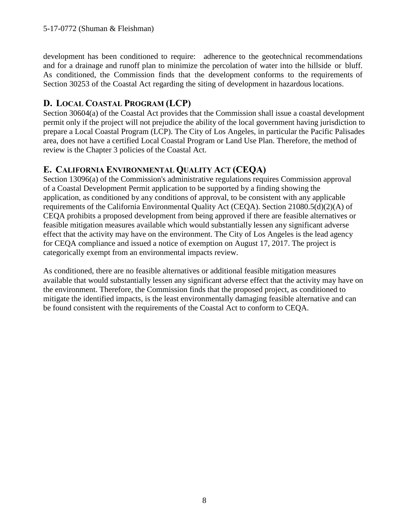development has been conditioned to require: adherence to the geotechnical recommendations and for a drainage and runoff plan to minimize the percolation of water into the hillside or bluff. As conditioned, the Commission finds that the development conforms to the requirements of Section 30253 of the Coastal Act regarding the siting of development in hazardous locations.

#### <span id="page-7-0"></span>**D. LOCAL COASTAL PROGRAM (LCP)**

Section 30604(a) of the Coastal Act provides that the Commission shall issue a coastal development permit only if the project will not prejudice the ability of the local government having jurisdiction to prepare a Local Coastal Program (LCP). The City of Los Angeles, in particular the Pacific Palisades area, does not have a certified Local Coastal Program or Land Use Plan. Therefore, the method of review is the Chapter 3 policies of the Coastal Act.

#### <span id="page-7-1"></span>**E. CALIFORNIA ENVIRONMENTAL QUALITY ACT (CEQA)**

Section 13096(a) of the Commission's administrative regulations requires Commission approval of a Coastal Development Permit application to be supported by a finding showing the application, as conditioned by any conditions of approval, to be consistent with any applicable requirements of the California Environmental Quality Act (CEQA). Section 21080.5(d)(2)(A) of CEQA prohibits a proposed development from being approved if there are feasible alternatives or feasible mitigation measures available which would substantially lessen any significant adverse effect that the activity may have on the environment. The City of Los Angeles is the lead agency for CEQA compliance and issued a notice of exemption on August 17, 2017. The project is categorically exempt from an environmental impacts review.

As conditioned, there are no feasible alternatives or additional feasible mitigation measures available that would substantially lessen any significant adverse effect that the activity may have on the environment. Therefore, the Commission finds that the proposed project, as conditioned to mitigate the identified impacts, is the least environmentally damaging feasible alternative and can be found consistent with the requirements of the Coastal Act to conform to CEQA.